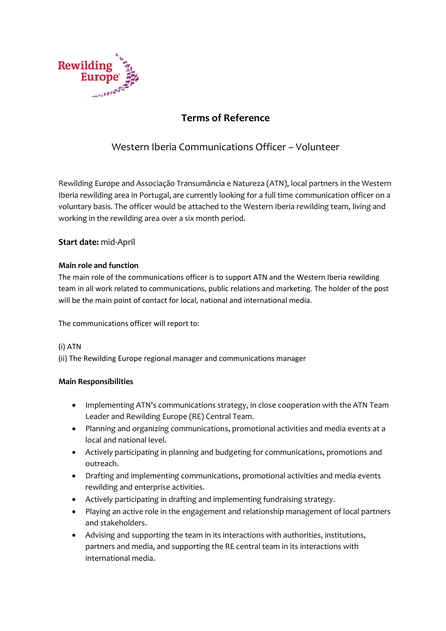

# **Terms of Reference**

## Western Iberia Communications Officer – Volunteer

Rewilding Europe and Associação Transumância e Natureza (ATN), local partners in the Western Iberia rewilding area in Portugal, are currently looking for a full time communication officer on a voluntary basis. The officer would be attached to the Western Iberia rewilding team, living and working in the rewilding area over a six month period.

### **Start date:** mid-April

#### **Main role and function**

The main role of the communications officer is to support ATN and the Western Iberia rewilding team in all work related to communications, public relations and marketing. The holder of the post will be the main point of contact for local, national and international media.

The communications officer will report to:

#### (i) ATN

(ii) The Rewilding Europe regional manager and communications manager

#### **Main Responsibilities**

- Implementing ATN's communications strategy, in close cooperation with the ATN Team Leader and Rewilding Europe (RE) Central Team.
- Planning and organizing communications, promotional activities and media events at a local and national level.
- Actively participating in planning and budgeting for communications, promotions and outreach.
- Drafting and implementing communications, promotional activities and media events rewilding and enterprise activities.
- Actively participating in drafting and implementing fundraising strategy.
- Playing an active role in the engagement and relationship management of local partners and stakeholders.
- Advising and supporting the team in its interactions with authorities, institutions, partners and media, and supporting the RE central team in its interactions with international media.